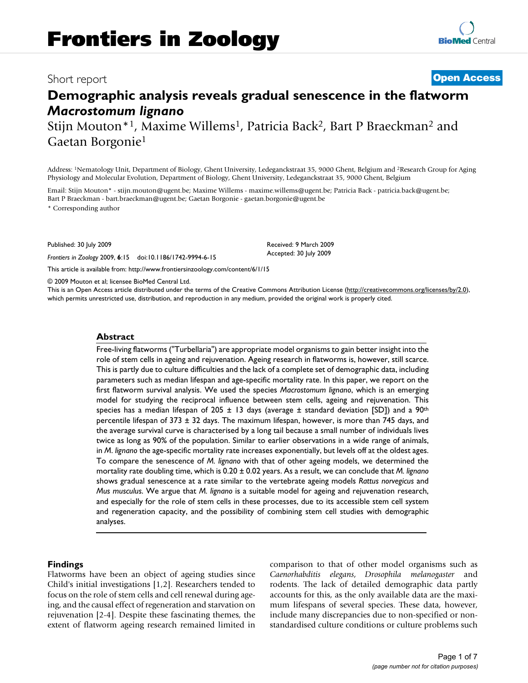# Short report **[Open Access](http://www.biomedcentral.com/info/about/charter/)**

# **Demographic analysis reveals gradual senescence in the flatworm**  *Macrostomum lignano*

Stijn Mouton\*<sup>1</sup>, Maxime Willems<sup>1</sup>, Patricia Back<sup>2</sup>, Bart P Braeckman<sup>2</sup> and Gaetan Borgonie1

Address: 1Nematology Unit, Department of Biology, Ghent University, Ledeganckstraat 35, 9000 Ghent, Belgium and 2Research Group for Aging Physiology and Molecular Evolution, Department of Biology, Ghent University, Ledeganckstraat 35, 9000 Ghent, Belgium

Email: Stijn Mouton\* - stijn.mouton@ugent.be; Maxime Willems - maxime.willems@ugent.be; Patricia Back - patricia.back@ugent.be; Bart P Braeckman - bart.braeckman@ugent.be; Gaetan Borgonie - gaetan.borgonie@ugent.be

\* Corresponding author

Published: 30 July 2009

*Frontiers in Zoology* 2009, **6**:15 doi:10.1186/1742-9994-6-15

[This article is available from: http://www.frontiersinzoology.com/content/6/1/15](http://www.frontiersinzoology.com/content/6/1/15)

© 2009 Mouton et al; licensee BioMed Central Ltd.

This is an Open Access article distributed under the terms of the Creative Commons Attribution License [\(http://creativecommons.org/licenses/by/2.0\)](http://creativecommons.org/licenses/by/2.0), which permits unrestricted use, distribution, and reproduction in any medium, provided the original work is properly cited.

Received: 9 March 2009 Accepted: 30 July 2009

# **Abstract**

Free-living flatworms ("Turbellaria") are appropriate model organisms to gain better insight into the role of stem cells in ageing and rejuvenation. Ageing research in flatworms is, however, still scarce. This is partly due to culture difficulties and the lack of a complete set of demographic data, including parameters such as median lifespan and age-specific mortality rate. In this paper, we report on the first flatworm survival analysis. We used the species *Macrostomum lignano*, which is an emerging model for studying the reciprocal influence between stem cells, ageing and rejuvenation. This species has a median lifespan of 205  $\pm$  13 days (average  $\pm$  standard deviation [SD]) and a 90<sup>th</sup> percentile lifespan of  $373 \pm 32$  days. The maximum lifespan, however, is more than 745 days, and the average survival curve is characterised by a long tail because a small number of individuals lives twice as long as 90% of the population. Similar to earlier observations in a wide range of animals, in *M*. *lignano* the age-specific mortality rate increases exponentially, but levels off at the oldest ages. To compare the senescence of *M. lignano* with that of other ageing models, we determined the mortality rate doubling time, which is 0.20 ± 0.02 years. As a result, we can conclude that *M. lignano* shows gradual senescence at a rate similar to the vertebrate ageing models *Rattus norvegicus* and *Mus musculus*. We argue that *M. lignano* is a suitable model for ageing and rejuvenation research, and especially for the role of stem cells in these processes, due to its accessible stem cell system and regeneration capacity, and the possibility of combining stem cell studies with demographic analyses.

# **Findings**

Flatworms have been an object of ageing studies since Child's initial investigations [1,2]. Researchers tended to focus on the role of stem cells and cell renewal during ageing, and the causal effect of regeneration and starvation on rejuvenation [2-4]. Despite these fascinating themes, the extent of flatworm ageing research remained limited in comparison to that of other model organisms such as *Caenorhabditis elegans*, *Drosophila melanogaster* and rodents. The lack of detailed demographic data partly accounts for this, as the only available data are the maximum lifespans of several species. These data, however, include many discrepancies due to non-specified or nonstandardised culture conditions or culture problems such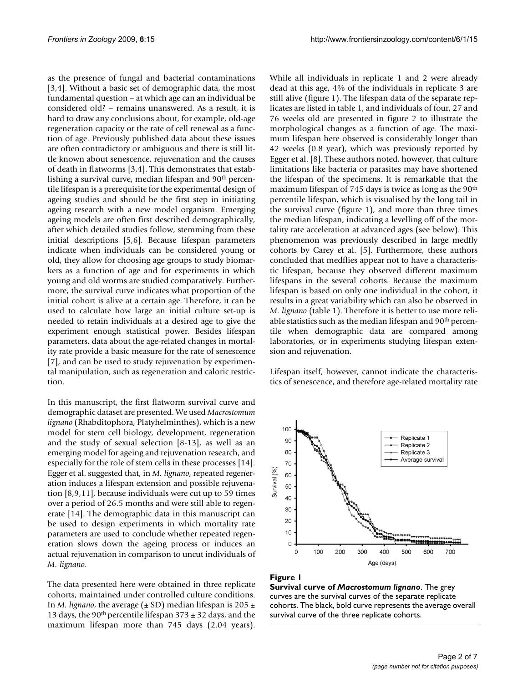as the presence of fungal and bacterial contaminations [3,4]. Without a basic set of demographic data, the most fundamental question – at which age can an individual be considered old? – remains unanswered. As a result, it is hard to draw any conclusions about, for example, old-age regeneration capacity or the rate of cell renewal as a function of age. Previously published data about these issues are often contradictory or ambiguous and there is still little known about senescence, rejuvenation and the causes of death in flatworms [3,4]. This demonstrates that establishing a survival curve, median lifespan and 90<sup>th</sup> percentile lifespan is a prerequisite for the experimental design of ageing studies and should be the first step in initiating ageing research with a new model organism. Emerging ageing models are often first described demographically, after which detailed studies follow, stemming from these initial descriptions [5,6]. Because lifespan parameters indicate when individuals can be considered young or old, they allow for choosing age groups to study biomarkers as a function of age and for experiments in which young and old worms are studied comparatively. Furthermore, the survival curve indicates what proportion of the initial cohort is alive at a certain age. Therefore, it can be used to calculate how large an initial culture set-up is needed to retain individuals at a desired age to give the experiment enough statistical power. Besides lifespan parameters, data about the age-related changes in mortality rate provide a basic measure for the rate of senescence [7], and can be used to study rejuvenation by experimental manipulation, such as regeneration and caloric restriction.

In this manuscript, the first flatworm survival curve and demographic dataset are presented. We used *Macrostomum lignano* (Rhabditophora, Platyhelminthes), which is a new model for stem cell biology, development, regeneration and the study of sexual selection [8-13], as well as an emerging model for ageing and rejuvenation research, and especially for the role of stem cells in these processes [14]. Egger et al. suggested that, in *M. lignano*, repeated regeneration induces a lifespan extension and possible rejuvenation [8,9,11], because individuals were cut up to 59 times over a period of 26.5 months and were still able to regenerate [14]. The demographic data in this manuscript can be used to design experiments in which mortality rate parameters are used to conclude whether repeated regeneration slows down the ageing process or induces an actual rejuvenation in comparison to uncut individuals of *M. lignano*.

The data presented here were obtained in three replicate cohorts, maintained under controlled culture conditions. In *M. lignano*, the average ( $\pm$  SD) median lifespan is 205  $\pm$ 13 days, the 90<sup>th</sup> percentile lifespan 373  $\pm$  32 days, and the maximum lifespan more than 745 days (2.04 years).

While all individuals in replicate 1 and 2 were already dead at this age, 4% of the individuals in replicate 3 are still alive (figure 1). The lifespan data of the separate replicates are listed in table 1, and individuals of four, 27 and 76 weeks old are presented in figure 2 to illustrate the morphological changes as a function of age. The maximum lifespan here observed is considerably longer than 42 weeks (0.8 year), which was previously reported by Egger et al. [8]. These authors noted, however, that culture limitations like bacteria or parasites may have shortened the lifespan of the specimens. It is remarkable that the maximum lifespan of 745 days is twice as long as the 90<sup>th</sup> percentile lifespan, which is visualised by the long tail in the survival curve (figure 1), and more than three times the median lifespan, indicating a levelling off of the mortality rate acceleration at advanced ages (see below). This phenomenon was previously described in large medfly cohorts by Carey et al. [5]. Furthermore, these authors concluded that medflies appear not to have a characteristic lifespan, because they observed different maximum lifespans in the several cohorts. Because the maximum lifespan is based on only one individual in the cohort, it results in a great variability which can also be observed in *M. lignano* (table 1). Therefore it is better to use more reliable statistics such as the median lifespan and 90<sup>th</sup> percentile when demographic data are compared among laboratories, or in experiments studying lifespan extension and rejuvenation.

Lifespan itself, however, cannot indicate the characteristics of senescence, and therefore age-related mortality rate



#### **Figure 1**

**Survival curve of** *Macrostomum lignano*. The grey curves are the survival curves of the separate replicate cohorts. The black, bold curve represents the average overall survival curve of the three replicate cohorts.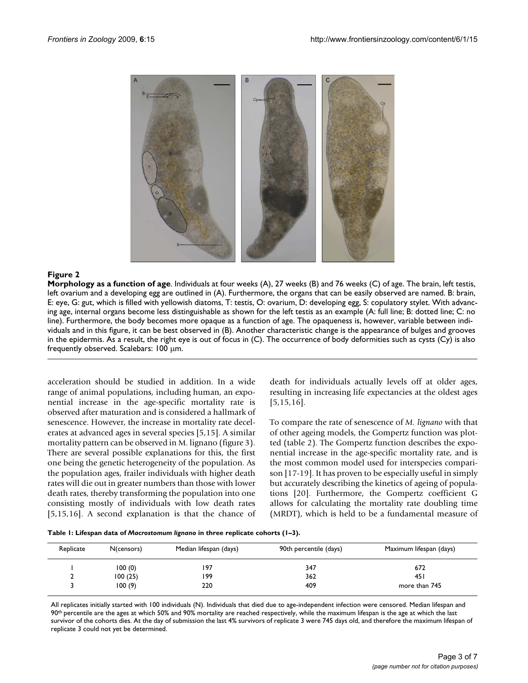

# **Figure 2**

**Morphology as a function of age**. Individuals at four weeks (A), 27 weeks (B) and 76 weeks (C) of age. The brain, left testis, left ovarium and a developing egg are outlined in (A). Furthermore, the organs that can be easily observed are named. B: brain, E: eye, G: gut, which is filled with yellowish diatoms, T: testis, O: ovarium, D: developing egg, S: copulatory stylet. With advancing age, internal organs become less distinguishable as shown for the left testis as an example (A: full line; B: dotted line; C: no line). Furthermore, the body becomes more opaque as a function of age. The opaqueness is, however, variable between individuals and in this figure, it can be best observed in (B). Another characteristic change is the appearance of bulges and grooves in the epidermis. As a result, the right eye is out of focus in (C). The occurrence of body deformities such as cysts (Cy) is also frequently observed. Scalebars: 100 μm.

acceleration should be studied in addition. In a wide range of animal populations, including human, an exponential increase in the age-specific mortality rate is observed after maturation and is considered a hallmark of senescence. However, the increase in mortality rate decelerates at advanced ages in several species [5,15]. A similar mortality pattern can be observed in M. lignano (figure 3). There are several possible explanations for this, the first one being the genetic heterogeneity of the population. As the population ages, frailer individuals with higher death rates will die out in greater numbers than those with lower death rates, thereby transforming the population into one consisting mostly of individuals with low death rates [5,15,16]. A second explanation is that the chance of death for individuals actually levels off at older ages, resulting in increasing life expectancies at the oldest ages [5,15,16].

To compare the rate of senescence of *M. lignano* with that of other ageing models, the Gompertz function was plotted (table 2). The Gompertz function describes the exponential increase in the age-specific mortality rate, and is the most common model used for interspecies comparison [17-19]. It has proven to be especially useful in simply but accurately describing the kinetics of ageing of populations [20]. Furthermore, the Gompertz coefficient G allows for calculating the mortality rate doubling time (MRDT), which is held to be a fundamental measure of

|  | Table I: Lifespan data of Macrostomum lignano in three replicate cohorts (1-3). |  |  |  |
|--|---------------------------------------------------------------------------------|--|--|--|
|  |                                                                                 |  |  |  |

| Replicate | N(censors) | Median lifespan (days) | 90th percentile (days) | Maximum lifespan (days) |
|-----------|------------|------------------------|------------------------|-------------------------|
|           | 100(0)     | 197                    | 347                    | 672                     |
|           | 100(25)    | 199                    | 362                    | 45 I                    |
|           | 100(9)     | 220                    | 409                    | more than 745           |

All replicates initially started with 100 individuals (N). Individuals that died due to age-independent infection were censored. Median lifespan and 90th percentile are the ages at which 50% and 90% mortality are reached respectively, while the maximum lifespan is the age at which the last survivor of the cohorts dies. At the day of submission the last 4% survivors of replicate 3 were 745 days old, and therefore the maximum lifespan of replicate 3 could not yet be determined.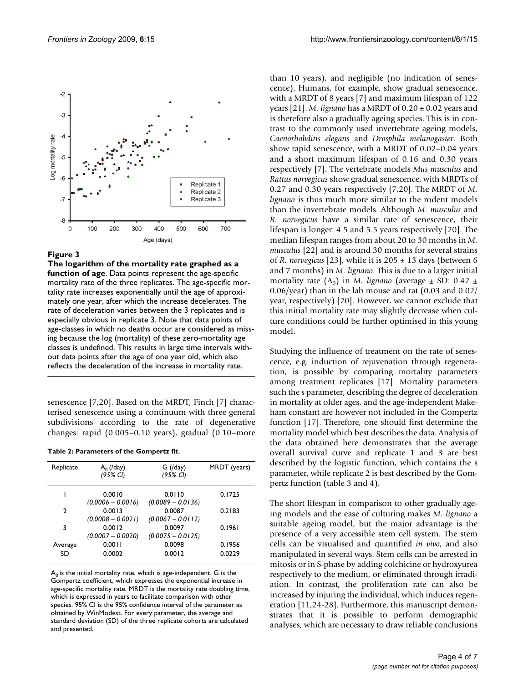

# Figure 3

**The logarithm of the mortality rate graphed as a function of age**. Data points represent the age-specific mortality rate of the three replicates. The age-specific mortality rate increases exponentially until the age of approximately one year, after which the increase decelerates. The rate of deceleration varies between the 3 replicates and is especially obvious in replicate 3. Note that data points of age-classes in which no deaths occur are considered as missing because the log (mortality) of these zero-mortality age classes is undefined. This results in large time intervals without data points after the age of one year old, which also reflects the deceleration of the increase in mortality rate.

senescence [7,20]. Based on the MRDT, Finch [7] characterised senescence using a continuum with three general subdivisions according to the rate of degenerative changes: rapid (0.005–0.10 years), gradual (0.10–more

**Table 2: Parameters of the Gompertz fit.**

| Replicate     | $A_0$ (/day)        | $G$ (/day)          | MRDT (years) |
|---------------|---------------------|---------------------|--------------|
|               | (95% CI)            | (95% CI)            |              |
|               | 0.0010              | 0.0110              | 0.1725       |
|               | $(0.0006 - 0.0016)$ | $(0.0089 - 0.0136)$ |              |
| $\mathcal{P}$ | 0.0013              | 0.0087              | 0.2183       |
|               | $(0.0008 - 0.0021)$ | $(0.0067 - 0.0112)$ |              |
| 3             | 0.0012              | 0.0097              | 0.1961       |
|               | $(0.0007 - 0.0020)$ | $(0.0075 - 0.0125)$ |              |
| Average       | 0.0011              | 0.0098              | 0.1956       |
| SD            | 0.0002              | 0.0012              | 0.0229       |
|               |                     |                     |              |

 $A_0$  is the initial mortality rate, which is age-independent. G is the Gompertz coefficient, which expresses the exponential increase in age-specific mortality rate. MRDT is the mortality rate doubling time, which is expressed in years to facilitate comparison with other species. 95% CI is the 95% confidence interval of the parameter as obtained by WinModest. For every parameter, the average and standard deviation (SD) of the three replicate cohorts are calculated and presented.

than 10 years), and negligible (no indication of senescence). Humans, for example, show gradual senescence, with a MRDT of 8 years [7] and maximum lifespan of 122 years [21]. *M. lignano* has a MRDT of 0.20  $\pm$  0.02 years and is therefore also a gradually ageing species. This is in contrast to the commonly used invertebrate ageing models, *Caenorhabditis elegans* and *Drosphila melanogaster*. Both show rapid senescence, with a MRDT of 0.02–0.04 years and a short maximum lifespan of 0.16 and 0.30 years respectively [7]. The vertebrate models *Mus musculus* and *Rattus norvegicus* show gradual senescence, with MRDTs of 0.27 and 0.30 years respectively [7,20]. The MRDT of *M. lignano* is thus much more similar to the rodent models than the invertebrate models. Although *M. musculus* and *R. norvegicus* have a similar rate of senescence, their lifespan is longer: 4.5 and 5.5 years respectively [20]. The median lifespan ranges from about 20 to 30 months in *M. musculus* [22] and is around 30 months for several strains of *R. norvegicus* [23], while it is 205 ± 13 days (between 6 and 7 months) in *M. lignano*. This is due to a larger initial mortality rate  $(A_0)$  in *M. lignano* (average  $\pm$  SD: 0.42  $\pm$ 0.06/year) than in the lab mouse and rat (0.03 and 0.02/ year, respectively) [20]. However, we cannot exclude that this initial mortality rate may slightly decrease when culture conditions could be further optimised in this young model.

Studying the influence of treatment on the rate of senescence, e.g. induction of rejuvenation through regeneration, is possible by comparing mortality parameters among treatment replicates [17]. Mortality parameters such the s parameter, describing the degree of deceleration in mortality at older ages, and the age-independent Makeham constant are however not included in the Gompertz function [17]. Therefore, one should first determine the mortality model which best describes the data. Analysis of the data obtained here demonstrates that the average overall survival curve and replicate 1 and 3 are best described by the logistic function, which contains the s parameter, while replicate 2 is best described by the Gompertz function (table 3 and 4).

The short lifespan in comparison to other gradually ageing models and the ease of culturing makes *M. lignano* a suitable ageing model, but the major advantage is the presence of a very accessible stem cell system. The stem cells can be visualised and quantified *in vivo*, and also manipulated in several ways. Stem cells can be arrested in mitosis or in S-phase by adding colchicine or hydroxyurea respectively to the medium, or eliminated through irradiation. In contrast, the proliferation rate can also be increased by injuring the individual, which induces regeneration [11,24-28]. Furthermore, this manuscript demonstrates that it is possible to perform demographic analyses, which are necessary to draw reliable conclusions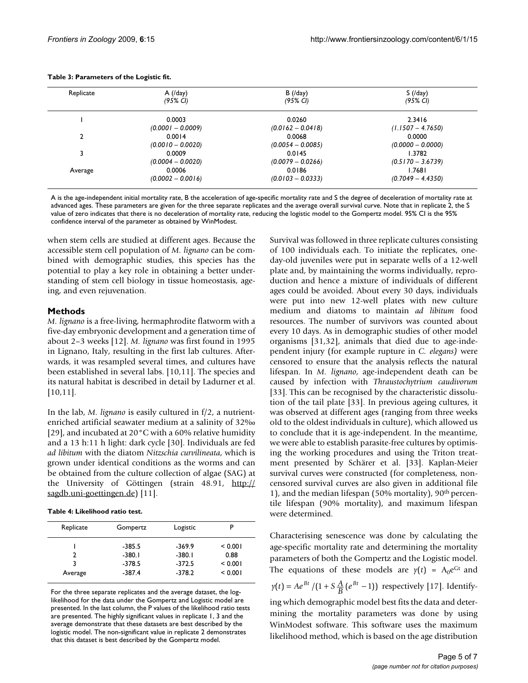| Replicate | $A$ (/day)          | B/(day)               | $S \left( \frac{\text{day}}{\text{day}} \right)$ |
|-----------|---------------------|-----------------------|--------------------------------------------------|
|           | (95% CI)            | $(95\% \, \text{Cl})$ | $(95\% \, \text{Cl})$                            |
|           | 0.0003              | 0.0260                | 2.3416                                           |
|           | $(0.0001 - 0.0009)$ | $(0.0162 - 0.0418)$   | $(1.1507 - 4.7650)$                              |
|           | 0.0014              | 0.0068                | 0.0000                                           |
|           | $(0.0010 - 0.0020)$ | $(0.0054 - 0.0085)$   | $(0.0000 - 0.0000)$                              |
|           | 0.0009              | 0.0145                | 1.3782                                           |
|           | $(0.0004 - 0.0020)$ | $(0.0079 - 0.0266)$   | $(0.5170 - 3.6739)$                              |
| Average   | 0.0006              | 0.0186                | 1.7681                                           |
|           | $(0.0002 - 0.0016)$ | $(0.0103 - 0.0333)$   | $(0.7049 - 4.4350)$                              |

#### **Table 3: Parameters of the Logistic fit.**

A is the age-independent initial mortality rate, B the acceleration of age-specific mortality rate and S the degree of deceleration of mortality rate at advanced ages. These parameters are given for the three separate replicates and the average overall survival curve. Note that in replicate 2, the S value of zero indicates that there is no deceleration of mortality rate, reducing the logistic model to the Gompertz model. 95% CI is the 95% confidence interval of the parameter as obtained by WinModest.

when stem cells are studied at different ages. Because the accessible stem cell population of *M. lignano* can be combined with demographic studies, this species has the potential to play a key role in obtaining a better understanding of stem cell biology in tissue homeostasis, ageing, and even rejuvenation.

# **Methods**

*M. lignano* is a free-living, hermaphrodite flatworm with a five-day embryonic development and a generation time of about 2–3 weeks [12]. *M. lignano* was first found in 1995 in Lignano, Italy, resulting in the first lab cultures. Afterwards, it was resampled several times, and cultures have been established in several labs. [10,11]. The species and its natural habitat is described in detail by Ladurner et al. [10,11].

In the lab, *M. lignano* is easily cultured in f/2, a nutrientenriched artificial seawater medium at a salinity of 32‰ [[29](#page-6-0)], and incubated at 20°C with a 60% relative humidity and a 13 h:11 h light: dark cycle [30]. Individuals are fed *ad libitum* with the diatom *Nitzschia curvilineata*, which is grown under identical conditions as the worms and can be obtained from the culture collection of algae (SAG) at the University of Göttingen (strain 48.91, [http://](http://sagdb.uni-goettingen.de) [sagdb.uni-goettingen.de](http://sagdb.uni-goettingen.de)) [11].

| Table 4: Likelihood ratio test. |
|---------------------------------|
|                                 |

| Replicate | Gompertz | Logistic |         |
|-----------|----------|----------|---------|
|           | $-385.5$ | $-369.9$ | < 0.001 |
|           | $-380.1$ | $-380.1$ | 0.88    |
| ર         | $-378.5$ | $-372.5$ | < 0.001 |
| Average   | $-387.4$ | $-378.2$ | < 0.001 |

For the three separate replicates and the average dataset, the loglikelihood for the data under the Gompertz and Logistic model are presented. In the last column, the P values of the likelihood ratio tests are presented. The highly significant values in replicate 1, 3 and the average demonstrate that these datasets are best described by the logistic model. The non-significant value in replicate 2 demonstrates that this dataset is best described by the Gompertz model.

Survival was followed in three replicate cultures consisting of 100 individuals each. To initiate the replicates, oneday-old juveniles were put in separate wells of a 12-well plate and, by maintaining the worms individually, reproduction and hence a mixture of individuals of different ages could be avoided. About every 30 days, individuals were put into new 12-well plates with new culture medium and diatoms to maintain *ad libitum* food resources. The number of survivors was counted about every 10 days. As in demographic studies of other model organisms [31,32], animals that died due to age-independent injury (for example rupture in *C. elegans)* were censored to ensure that the analysis reflects the natural lifespan. In *M. lignano*, age-independent death can be caused by infection with *Thraustochytrium caudivorum* [33]. This can be recognised by the characteristic dissolution of the tail plate [33]. In previous ageing cultures, it was observed at different ages (ranging from three weeks old to the oldest individuals in culture), which allowed us to conclude that it is age-independent. In the meantime, we were able to establish parasite-free cultures by optimising the working procedures and using the Triton treatment presented by Schärer et al. [33]. Kaplan-Meier survival curves were constructed (for completeness, noncensored survival curves are also given in additional file 1), and the median lifespan (50% mortality),  $90<sup>th</sup>$  percentile lifespan (90% mortality), and maximum lifespan were determined.

Characterising senescence was done by calculating the age-specific mortality rate and determining the mortality parameters of both the Gompertz and the Logistic model. The equations of these models are  $y(t) = A_0 e^{Gt}$  and

 $y(t) = Ae^{Bt} / (1 + S\frac{A}{B}(e^{Bt} - 1))$  respectively [17]. Identify-

ing which demographic model best fits the data and determining the mortality parameters was done by using WinModest software. This software uses the maximum likelihood method, which is based on the age distribution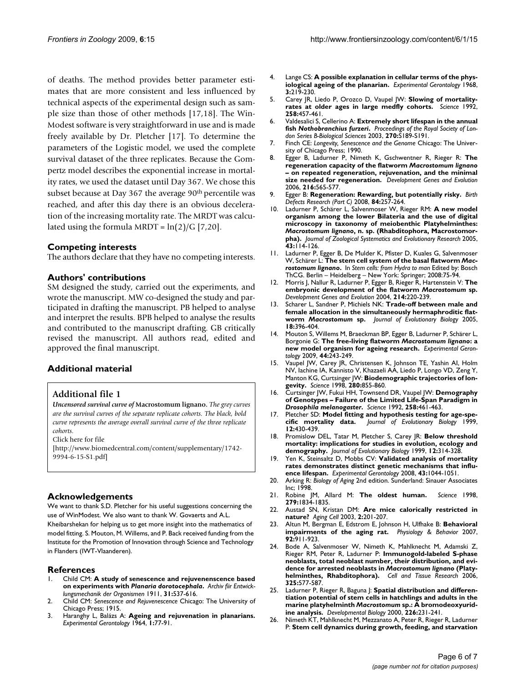of deaths. The method provides better parameter estimates that are more consistent and less influenced by technical aspects of the experimental design such as sample size than those of other methods [17,18]. The Win-Modest software is very straightforward in use and is made freely available by Dr. Pletcher [17]. To determine the parameters of the Logistic model, we used the complete survival dataset of the three replicates. Because the Gompertz model describes the exponential increase in mortality rates, we used the dataset until Day 367. We chose this subset because at Day 367 the average 90<sup>th</sup> percentile was reached, and after this day there is an obvious deceleration of the increasing mortality rate. The MRDT was calculated using the formula MRDT =  $ln(2)/G$  [7,20].

# **Competing interests**

The authors declare that they have no competing interests.

# **Authors' contributions**

SM designed the study, carried out the experiments, and wrote the manuscript. MW co-designed the study and participated in drafting the manuscript. PB helped to analyse and interpret the results. BPB helped to analyse the results and contributed to the manuscript drafting. GB critically revised the manuscript. All authors read, edited and approved the final manuscript.

# **Additional material**

# **Additional file 1**

*Uncensored survival curve of* **Macrostomum lignano***. The grey curves are the survival curves of the separate replicate cohorts. The black, bold curve represents the average overall survival curve of the three replicate cohorts.*

Click here for file

[\[http://www.biomedcentral.com/content/supplementary/1742-](http://www.biomedcentral.com/content/supplementary/1742-9994-6-15-S1.pdf) 9994-6-15-S1.pdf]

# **Acknowledgements**

We want to thank S.D. Pletcher for his useful suggestions concerning the use of WinModest. We also want to thank W. Govaerts and A.L.

Kheibarshekan for helping us to get more insight into the mathematics of model fitting. S. Mouton, M. Willems, and P. Back received funding from the Institute for the Promotion of Innovation through Science and Technology in Flanders (IWT-Vlaanderen).

### **References**

- 1. Child CM: **A study of senescence and rejuvenenscence based on experiments with** *Planaria dorotocephala***.** *Archiv fiir Entwicklungsmechanik der Organismen* 1911, **31:**537-616.
- 2. Child CM: *Senescence and Rejuvenescence* Chicago: The University of Chicago Press; 1915.
- 3. Haranghy L, Balázs A: **Ageing and rejuvenation in planarians.** *Experimental Gerontology* 1964, **1:**77-91.
- 4. Lange CS: **[A possible explanation in cellular terms of the phys](http://www.ncbi.nlm.nih.gov/entrez/query.fcgi?cmd=Retrieve&db=PubMed&dopt=Abstract&list_uids=5760522)[iological ageing of the planarian.](http://www.ncbi.nlm.nih.gov/entrez/query.fcgi?cmd=Retrieve&db=PubMed&dopt=Abstract&list_uids=5760522)** *Experimental Gerontology* 1968, **3:**219-230.
- 5. Carey JR, Liedo P, Orozco D, Vaupel JW: **[Slowing of mortality](http://www.ncbi.nlm.nih.gov/entrez/query.fcgi?cmd=Retrieve&db=PubMed&dopt=Abstract&list_uids=1411540)[rates at older ages in large medfly cohorts.](http://www.ncbi.nlm.nih.gov/entrez/query.fcgi?cmd=Retrieve&db=PubMed&dopt=Abstract&list_uids=1411540)** *Science* 1992, **258:**457-461.
- 6. Valdesalici S, Cellerino A: **Extremely short lifespan in the annual fish** *Nothobranchius furzeri***.** *Proceedings of the Royal Society of London Series B-Biological Sciences* 2003, **270:**S189-S191.
- 7. Finch CE: *Longevity, Senescence and the Genome* Chicago: The University of Chicago Press; 1990.
- 8. Egger B, Ladurner P, Nimeth K, Gschwentner R, Rieger R: **The regeneration capacity of the flatworm** *Macrostomum lignano* **[– on repeated regeneration, rejuvenation, and the minimal](http://www.ncbi.nlm.nih.gov/entrez/query.fcgi?cmd=Retrieve&db=PubMed&dopt=Abstract&list_uids=16604349) [size needed for regeneration.](http://www.ncbi.nlm.nih.gov/entrez/query.fcgi?cmd=Retrieve&db=PubMed&dopt=Abstract&list_uids=16604349)** *Development Genes and Evolution* 2006, **216:**565-577.
- 9. Egger B: **Regeneration: Rewarding, but potentially risky.** *Birth Defects Research (Part C)* 2008, **84:**257-264.
- 10. Ladurner P, Schärer L, Salvenmoser W, Rieger RM: **A new model organism among the lower Bilateria and the use of digital microscopy in taxonomy of meiobenthic Platyhelminthes:** *Macrostomum lignano***, n. sp. (Rhabditophora, Macrostomorpha).** *Journal of Zoological Systematics and Evolutionary Research* 2005, **43:**114-126.
- 11. Ladurner P, Egger B, De Mulder K, Pfister D, Kuales G, Salvenmoser W, Schärer L: **The stem cell system of the basal flatworm** *Macrostomum lignano***.** In *Stem cells: from Hydra to man* Edited by: Bosch ThCG. Berlin – Heidelberg – New York: Springer; 2008:75-94.
- 12. Morris J, Nallur R, Ladurner P, Egger B, Rieger R, Hartenstein V: **The embryonic development of the flatworm** *Macrostomum* **[sp.](http://www.ncbi.nlm.nih.gov/entrez/query.fcgi?cmd=Retrieve&db=PubMed&dopt=Abstract&list_uids=15083361)** *Development Genes and Evolution* 2004, **214:**220-239.
- 13. Scharer L, Sandner P, Michiels NK: **Trade-off between male and female allocation in the simultaneously hermaphroditic flatworm** *Macrostomum* **[sp.](http://www.ncbi.nlm.nih.gov/entrez/query.fcgi?cmd=Retrieve&db=PubMed&dopt=Abstract&list_uids=15715845)** *Journal of Evolutionary Biology* 2005, **18:**396-404.
- 14. Mouton S, Willems M, Braeckman BP, Egger B, Ladurner P, Schärer L, Borgonie G: **The free-living flatworm** *Macrostomum lignano***[: a](http://www.ncbi.nlm.nih.gov/entrez/query.fcgi?cmd=Retrieve&db=PubMed&dopt=Abstract&list_uids=19111920) [new model organism for ageing research.](http://www.ncbi.nlm.nih.gov/entrez/query.fcgi?cmd=Retrieve&db=PubMed&dopt=Abstract&list_uids=19111920)** *Experimental Gerontology* 2009, **44:**243-249.
- 15. Vaupel JW, Carey JR, Christensen K, Johnson TE, Yashin AI, Holm NV, Iachine IA, Kannisto V, Khazaeli AA, Liedo P, Longo VD, Zeng Y, Manton KG, Curtsinger JW: **[Biodemographic trajectories of lon](http://www.ncbi.nlm.nih.gov/entrez/query.fcgi?cmd=Retrieve&db=PubMed&dopt=Abstract&list_uids=9599158)[gevity.](http://www.ncbi.nlm.nih.gov/entrez/query.fcgi?cmd=Retrieve&db=PubMed&dopt=Abstract&list_uids=9599158)** *Science* 1998, **280:**855-860.
- 16. Curtsinger JW, Fukui HH, Townsend DR, Vaupel JW: **Demography of Genotypes – Failure of the Limited Life-Span Paradigm in** *Drosophila melanogaster***[.](http://www.ncbi.nlm.nih.gov/entrez/query.fcgi?cmd=Retrieve&db=PubMed&dopt=Abstract&list_uids=1411541)** *Science* 1992, **258:**461-463.
- 17. Pletcher SD: **Model fitting and hypothesis testing for age-specific mortality data.** *Journal of Evolutionary Biology* 1999, **12:**430-439.
- 18. Promislow DEL, Tatar M, Pletcher S, Carey JR: **Below threshold mortality: implications for studies in evolution, ecology and demography.** *Journal of Evolutionary Biology* 1999, **12:**314-328.
- 19. Yen K, Steinsaltz D, Mobbs CV: **[Validated analysis of mortality](http://www.ncbi.nlm.nih.gov/entrez/query.fcgi?cmd=Retrieve&db=PubMed&dopt=Abstract&list_uids=18832022) [rates demonstrates distinct genetic mechanisms that influ](http://www.ncbi.nlm.nih.gov/entrez/query.fcgi?cmd=Retrieve&db=PubMed&dopt=Abstract&list_uids=18832022)[ence lifespan.](http://www.ncbi.nlm.nih.gov/entrez/query.fcgi?cmd=Retrieve&db=PubMed&dopt=Abstract&list_uids=18832022)** *Experimental Gerontology* 2008, **43:**1044-1051.
- 20. Arking R: *Biology of Aging* 2nd edition. Sunderland: Sinauer Associates Inc; 1998.
- 21. Robine JM, Allard M: **[The oldest human.](http://www.ncbi.nlm.nih.gov/entrez/query.fcgi?cmd=Retrieve&db=PubMed&dopt=Abstract&list_uids=9537897)** *Science* 1998, **279:**1834-1835.
- 22. Austad SN, Kristan DM: **[Are mice calorically restricted in](http://www.ncbi.nlm.nih.gov/entrez/query.fcgi?cmd=Retrieve&db=PubMed&dopt=Abstract&list_uids=12934713) [nature?](http://www.ncbi.nlm.nih.gov/entrez/query.fcgi?cmd=Retrieve&db=PubMed&dopt=Abstract&list_uids=12934713)** *Aging Cell* 2003, **2:**201-207.
- 23. Altun M, Bergman E, Edstrom E, Johnson H, Ulfhake B: **[Behavioral](http://www.ncbi.nlm.nih.gov/entrez/query.fcgi?cmd=Retrieve&db=PubMed&dopt=Abstract&list_uids=17675121) [impairments of the aging rat.](http://www.ncbi.nlm.nih.gov/entrez/query.fcgi?cmd=Retrieve&db=PubMed&dopt=Abstract&list_uids=17675121)** *Physiology & Behavior* 2007, **92:**911-923.
- 24. Bode A, Salvenmoser W, Nimeth K, Mahlknecht M, Adamski Z, Rieger RM, Peter R, Ladurner P: **Immunogold-labeled S-phase neoblasts, total neoblast number, their distribution, and evidence for arrested neoblasts in** *Macrostomum lignano* **[\(Platy](http://www.ncbi.nlm.nih.gov/entrez/query.fcgi?cmd=Retrieve&db=PubMed&dopt=Abstract&list_uids=16642372)[helminthes, Rhabditophora\).](http://www.ncbi.nlm.nih.gov/entrez/query.fcgi?cmd=Retrieve&db=PubMed&dopt=Abstract&list_uids=16642372)** *Cell and Tissue Research* 2006, **325:**577-587.
- 25. Ladurner P, Rieger R, Baguna J: **Spatial distribution and differentiation potential of stem cells in hatchlings and adults in the marine platyhelminth** *Macrostomum* **[sp.: A bromodeoxyurid](http://www.ncbi.nlm.nih.gov/entrez/query.fcgi?cmd=Retrieve&db=PubMed&dopt=Abstract&list_uids=11023683)[ine analysis.](http://www.ncbi.nlm.nih.gov/entrez/query.fcgi?cmd=Retrieve&db=PubMed&dopt=Abstract&list_uids=11023683)** *Developmental Biology* 2000, **226:**231-241.
- 26. Nimeth KT, Mahlknecht M, Mezzanato A, Peter R, Rieger R, Ladurner P: **Stem cell dynamics during growth, feeding, and starvation**